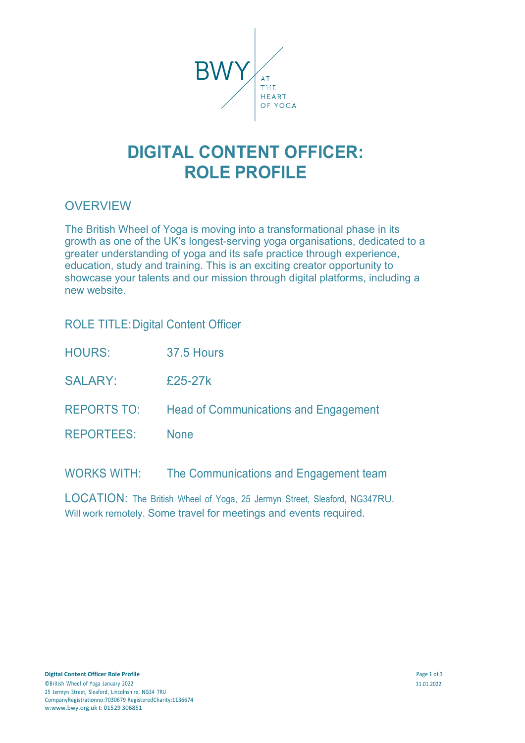

# **DIGITAL CONTENT OFFICER: ROLE PROFILE**

## **OVERVIEW**

The British Wheel of Yoga is moving into a transformational phase in its growth as one of the UK's longest-serving yoga organisations, dedicated to a greater understanding of yoga and its safe practice through experience, education, study and training. This is an exciting creator opportunity to showcase your talents and our mission through digital platforms, including a new website.

| <b>ROLE TITLE: Digital Content Officer</b> |  |
|--------------------------------------------|--|
|                                            |  |

- HOURS: 37.5 Hours
- $SAI ARY: F25-27k$
- REPORTS TO: Head of Communications and Engagement
- REPORTEES: None

WORKS WITH: The Communications and Engagement team

LOCATION: The British Wheel of Yoga, 25 Jermyn Street, Sleaford, NG347RU. Will work remotely. Some travel for meetings and events required.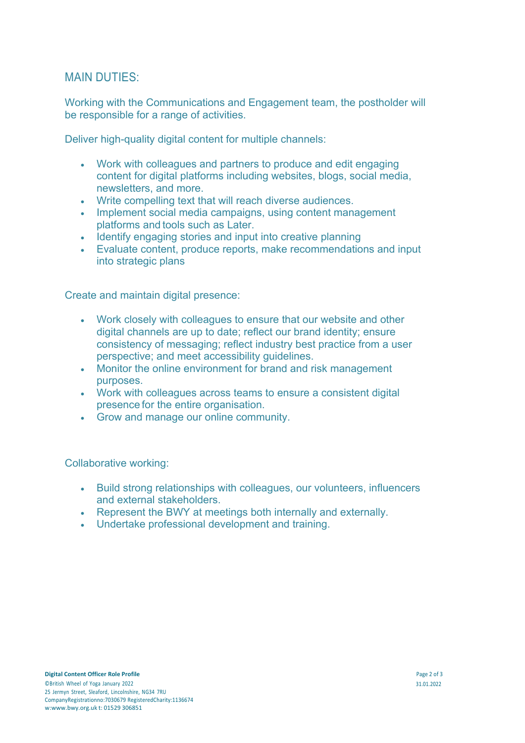### MAIN DUTIES:

Working with the Communications and Engagement team, the postholder will be responsible for a range of activities.

Deliver high-quality digital content for multiple channels:

- Work with colleagues and partners to produce and edit engaging content for digital platforms including websites, blogs, social media, newsletters, and more.
- Write compelling text that will reach diverse audiences.
- Implement social media campaigns, using content management platforms and tools such as Later.
- Identify engaging stories and input into creative planning
- Evaluate content, produce reports, make recommendations and input into strategic plans

Create and maintain digital presence:

- Work closely with colleagues to ensure that our website and other digital channels are up to date; reflect our brand identity; ensure consistency of messaging; reflect industry best practice from a user perspective; and meet accessibility guidelines.
- Monitor the online environment for brand and risk management purposes.
- Work with colleagues across teams to ensure a consistent digital presence for the entire organisation.
- Grow and manage our online community.

Collaborative working:

- Build strong relationships with colleagues, our volunteers, influencers and external stakeholders.
- Represent the BWY at meetings both internally and externally.
- Undertake professional development and training.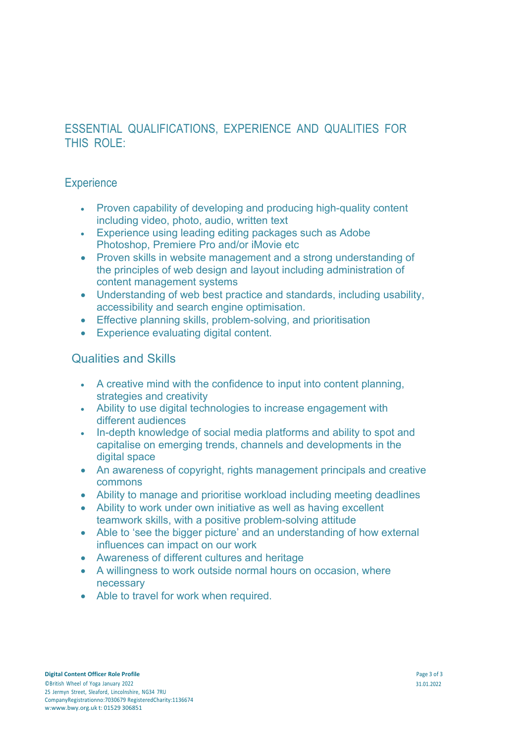## ESSENTIAL QUALIFICATIONS, EXPERIENCE AND QUALITIES FOR THIS ROLE:

### **Experience**

- Proven capability of developing and producing high-quality content including video, photo, audio, written text
- Experience using leading editing packages such as Adobe Photoshop, Premiere Pro and/or iMovie etc
- Proven skills in website management and a strong understanding of the principles of web design and layout including administration of content management systems
- Understanding of web best practice and standards, including usability, accessibility and search engine optimisation.
- Effective planning skills, problem-solving, and prioritisation
- Experience evaluating digital content.

#### Qualities and Skills

- A creative mind with the confidence to input into content planning, strategies and creativity
- Ability to use digital technologies to increase engagement with different audiences
- In-depth knowledge of social media platforms and ability to spot and capitalise on emerging trends, channels and developments in the digital space
- An awareness of copyright, rights management principals and creative commons
- Ability to manage and prioritise workload including meeting deadlines
- Ability to work under own initiative as well as having excellent teamwork skills, with a positive problem-solving attitude
- Able to 'see the bigger picture' and an understanding of how external influences can impact on our work
- Awareness of different cultures and heritage
- A willingness to work outside normal hours on occasion, where necessary
- Able to travel for work when required.